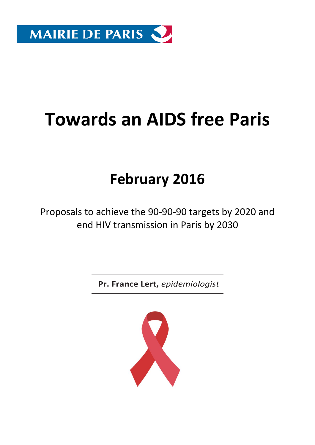

# **Towards an AIDS free Paris**

# **February 2016**

Proposals to achieve the 90-90-90 targets by 2020 and end HIV transmission in Paris by 2030

 **Pr. France Lert,** *epidemiologist*

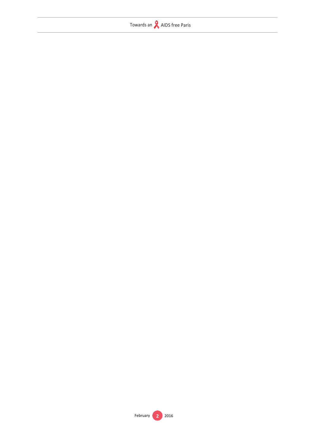

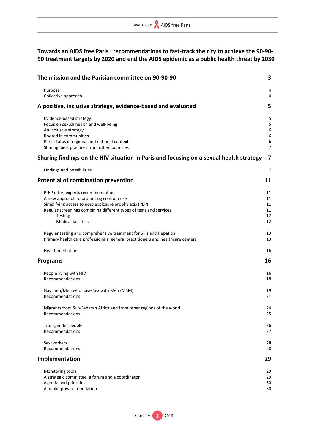#### **Towards an AIDS free Paris : recommendations to fast-track the city to achieve the 90-90- 90 treatment targets by 2020 and end the AIDS epidemic as a public health threat by 2030**

| The mission and the Parisian committee on 90-90-90                                      | 3                |
|-----------------------------------------------------------------------------------------|------------------|
| Purpose                                                                                 | 4                |
| Collective approach                                                                     | 4                |
| A positive, inclusive strategy, evidence-based and evaluated                            | 5                |
| Evidence-based strategy                                                                 | 5                |
| Focus on sexual health and well-being                                                   | 5                |
| An inclusive strategy                                                                   | $\boldsymbol{6}$ |
| Rooted in communities                                                                   | 6                |
| Paris status in regional and national contexts                                          | 6                |
| Sharing best practices from other countries                                             | 7                |
| Sharing findings on the HIV situation in Paris and focusing on a sexual health strategy | 7                |
| Findings and possibilities                                                              | 7                |
| <b>Potential of combination prevention</b>                                              | 11               |
| PrEP offer, experts recommendations                                                     | 11               |
| A new approach to promoting condom use                                                  | 11               |
| Simplifying access to post-explosure prophylaxis (PEP)                                  | 11               |
| Regular screenings combining different types of tests and services                      | 11               |
| <b>Testing</b>                                                                          | 12               |
| <b>Medical facilities</b>                                                               | 12               |
| Regular testing and comprehensive treatment for STIs and Hepatitis                      | 13               |
| Primary health care professionals: general practitioners and healthcare centers         | 13               |
| <b>Health mediation</b>                                                                 | 16               |
| <b>Programs</b>                                                                         | 16               |
| People living with HIV                                                                  | 16               |
| Recommendations                                                                         | 18               |
| Gay men/Men who have Sex with Men (MSM)                                                 | 19               |
| Recommendations                                                                         | 21               |
| Migrants from Sub-Saharan Africa and from other regions of the world                    | 24               |
| Recommendations                                                                         | 25               |
| Transgender people                                                                      | 26               |
| Recommendations                                                                         | 27               |
| Sex workers                                                                             | 28               |
| Recommendations                                                                         | 28               |
| Implementation                                                                          | 29               |
| Monitoring tools                                                                        | 29               |
| A strategic committee, a forum and a coordinator                                        | 29               |
| Agenda and priorities                                                                   | 30               |
| A public-private foundation                                                             | 30               |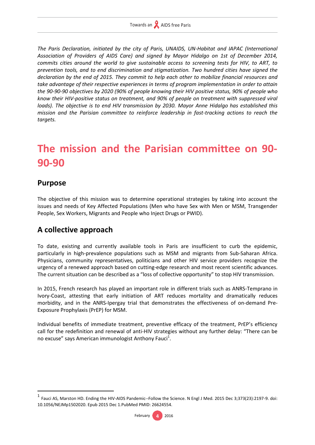*The Paris Declaration, initiated by the city of Paris, UNAIDS, UN-Habitat and IAPAC (International Association of Providers of AIDS Care) and signed by Mayor Hidalgo on 1st of December 2014, commits cities around the world to give sustainable access to screening tests for HIV, to ART, to prevention tools, and to end discrimination and stigmatization. Two hundred cities have signed the declaration by the end of 2015. They commit to help each other to mobilize financial resources and take advantage of their respective experiences in terms of program implementation in order to attain the 90-90-90 objectives by 2020 (90% of people knowing their HIV positive status, 90% of people who know their HIV-positive status on treatment, and 90% of people on treatment with suppressed viral loads). The objective is to end HIV transmission by 2030. Mayor Anne Hidalgo has established this mission and the Parisian committee to reinforce leadership in fast-tracking actions to reach the targets.*

# **The mission and the Parisian committee on 90- 90-90**

### **Purpose**

 $\overline{a}$ 

The objective of this mission was to determine operational strategies by taking into account the issues and needs of Key Affected Populations (Men who have Sex with Men or MSM, Transgender People, Sex Workers, Migrants and People who Inject Drugs or PWID).

# **A collective approach**

To date, existing and currently available tools in Paris are insufficient to curb the epidemic, particularly in high-prevalence populations such as MSM and migrants from Sub-Saharan Africa. Physicians, community representatives, politicians and other HIV service providers recognize the urgency of a renewed approach based on cutting-edge research and most recent scientific advances. The current situation can be described as a "loss of collective opportunity" to stop HIV transmission.

In 2015, French research has played an important role in different trials such as ANRS-Temprano in Ivory-Coast, attesting that early initiation of ART reduces mortality and dramatically reduces morbidity, and in the ANRS-Ipergay trial that demonstrates the effectiveness of on-demand Pre-Exposure Prophylaxis (PrEP) for MSM.

Individual benefits of immediate treatment, preventive efficacy of the treatment, PrEP's efficiency call for the redefinition and renewal of anti-HIV strategies without any further delay: "There can be no excuse" says American immunologist Anthony Fauci $^1$ .

<sup>1</sup> Fauci AS, Marston HD. Ending the HIV-AIDS Pandemic--Follow the Science. N Engl J Med. 2015 Dec 3;373(23):2197-9. doi: 10.1056/NEJMp1502020. Epub 2015 Dec 1.PubMed PMID: 26624554.

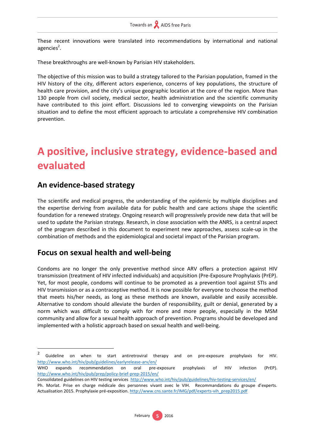These recent innovations were translated into recommendations by international and national agencies<sup>2</sup>.

These breakthroughs are well-known by Parisian HIV stakeholders.

The objective of this mission was to build a strategy tailored to the Parisian population, framed in the HIV history of the city, different actors experience, concerns of key populations, the structure of health care provision, and the city's unique geographic location at the core of the region. More than 130 people from civil society, medical sector, health administration and the scientific community have contributed to this joint effort. Discussions led to converging viewpoints on the Parisian situation and to define the most efficient approach to articulate a comprehensive HIV combination prevention.

# **A positive, inclusive strategy, evidence-based and evaluated**

### **An evidence-based strategy**

 $\overline{a}$ 

The scientific and medical progress, the understanding of the epidemic by multiple disciplines and the expertise deriving from available data for public health and care actions shape the scientific foundation for a renewed strategy. Ongoing research will progressively provide new data that will be used to update the Parisian strategy. Research, in close association with the ANRS, is a central aspect of the program described in this document to experiment new approaches, assess scale-up in the combination of methods and the epidemiological and societal impact of the Parisian program.

#### **Focus on sexual health and well-being**

Condoms are no longer the only preventive method since ARV offers a protection against HIV transmission (treatment of HIV infected individuals) and acquisition (Pre-Exposure Prophylaxis (PrEP). Yet, for most people, condoms will continue to be promoted as a prevention tool against STIs and HIV transmission or as a contraceptive method. It is now possible for everyone to choose the method that meets his/her needs, as long as these methods are known, available and easily accessible. Alternative to condom should alleviate the burden of responsibility, guilt or denial, generated by a norm which was difficult to comply with for more and more people, especially in the MSM community and allow for a sexual health approach of prevention. Programs should be developed and implemented with a holistic approach based on sexual health and well-being.

Consolidated guidelines on HIV testing services<http://www.who.int/hiv/pub/guidelines/hiv-testing-services/en/>

<sup>2</sup> Guideline on when to start antiretroviral therapy and on pre-exposure prophylaxis for HIV. <http://www.who.int/hiv/pub/guidelines/earlyrelease-arv/en/>

WHO expands recommendation on oral pre-exposure prophylaxis of HIV infection (PrEP). <http://www.who.int/hiv/pub/prep/policy-brief-prep-2015/en/>

Ph. Morlat. Prise en charge médicale des personnes vivant avec le VIH. Recommandations du groupe d'experts. Actualisation 2015. Prophylaxie pré-exposition[. http://www.cns.sante.fr/IMG/pdf/experts-vih\\_prep2015.pdf](http://www.cns.sante.fr/IMG/pdf/experts-vih_prep2015.pdf)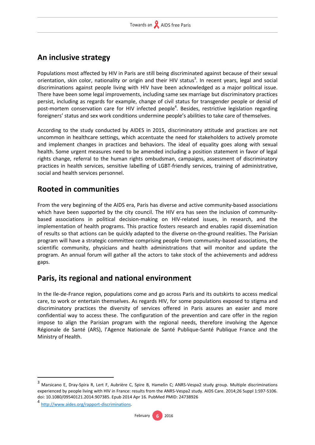## **An inclusive strategy**

Populations most affected by HIV in Paris are still being discriminated against because of their sexual orientation, skin color, nationality or origin and their HIV status<sup>3</sup>. In recent years, legal and social discriminations against people living with HIV have been acknowledged as a major political issue. There have been some legal improvements, including same sex marriage but discriminatory practices persist, including as regards for example, change of civil status for transgender people or denial of post-mortem conservation care for HIV infected people<sup>4</sup>. Besides, restrictive legislation regarding foreigners' status and sex work conditions undermine people's abilities to take care of themselves.

According to the study conducted by AIDES in 2015, discriminatory attitude and practices are not uncommon in healthcare settings, which accentuate the need for stakeholders to actively promote and implement changes in practices and behaviors. The ideal of equality goes along with sexual health. Some urgent measures need to be amended including a position statement in favor of legal rights change, referral to the human rights ombudsman, campaigns, assessment of discriminatory practices in health services, sensitive labelling of LGBT-friendly services, training of administrative, social and health services personnel.

### **Rooted in communities**

From the very beginning of the AIDS era, Paris has diverse and active community-based associations which have been supported by the city council. The HIV era has seen the inclusion of communitybased associations in political decision-making on HIV-related issues, in research, and the implementation of health programs. This practice fosters research and enables rapid dissemination of results so that actions can be quickly adapted to the diverse on-the-ground realities. The Parisian program will have a strategic committee comprising people from community-based associations, the scientific community, physicians and health administrations that will monitor and update the program. An annual forum will gather all the actors to take stock of the achievements and address gaps.

### **Paris, its regional and national environment**

In the Ile-de-France region, populations come and go across Paris and its outskirts to access medical care, to work or entertain themselves. As regards HIV, for some populations exposed to stigma and discriminatory practices the diversity of services offered in Paris assures an easier and more confidential way to access these. The configuration of the prevention and care offer in the region impose to align the Parisian program with the regional needs, therefore involving the Agence Régionale de Santé (ARS), l'Agence Nationale de Santé Publique-Santé Publique France and the Ministry of Health.

j

<sup>3&</sup>lt;br>Marsicano E, Dray-Spira R, Lert F, Aubrière C, Spire B, Hamelin C; ANRS-Vespa2 study group. Multiple discriminations experienced by people living with HIV in France: results from the ANRS-Vespa2 study. AIDS Care. 2014;26 Suppl 1:S97-S106. doi: 10.1080/09540121.2014.907385. Epub 2014 Apr 16. PubMed PMID: 24738926

<sup>4</sup> [http://www.aides.org/rapport-discriminations.](http://www.aides.org/rapport-discriminations)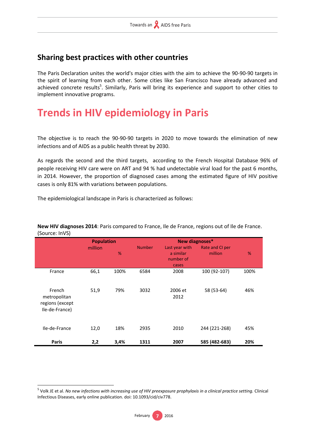## **Sharing best practices with other countries**

The Paris Declaration unites the world's major cities with the aim to achieve the 90-90-90 targets in the spirit of learning from each other. Some cities like San Francisco have already advanced and achieved concrete results<sup>5</sup>. Similarly, Paris will bring its experience and support to other cities to implement innovative programs.

# **Trends in HIV epidemiology in Paris**

The objective is to reach the 90-90-90 targets in 2020 to move towards the elimination of new infections and of AIDS as a public health threat by 2030.

As regards the second and the third targets, according to the French Hospital Database 96% of people receiving HIV care were on ART and 94 % had undetectable viral load for the past 6 months, in 2014. However, the proportion of diagnosed cases among the estimated figure of HIV positive cases is only 81% with variations between populations.

The epidemiological landscape in Paris is characterized as follows:

j

| 1700100.11177                                               |                   |                |               |                                                   |                            |      |
|-------------------------------------------------------------|-------------------|----------------|---------------|---------------------------------------------------|----------------------------|------|
|                                                             | <b>Population</b> | New diagnoses* |               |                                                   |                            |      |
|                                                             | million           | %              | <b>Number</b> | Last year with<br>a similar<br>number of<br>cases | Rate and CI per<br>million | %    |
| France                                                      | 66,1              | 100%           | 6584          | 2008                                              | 100 (92-107)               | 100% |
| French<br>metropolitan<br>regions (except<br>Ile-de-France) | 51,9              | 79%            | 3032          | 2006 et<br>2012                                   | 58 (53-64)                 | 46%  |
| Ile-de-France                                               | 12,0              | 18%            | 2935          | 2010                                              | 244 (221-268)              | 45%  |
| <b>Paris</b>                                                | 2,2               | 3,4%           | 1311          | 2007                                              | 585 (482-683)              | 20%  |

**New HIV diagnoses 2014**: Paris compared to France, Ile de France, regions out of Ile de France. (Source: InVS)

<sup>&</sup>lt;sup>5</sup> Volk JE et al. *No new infections with increasing use of HIV preexposure prophylaxis in a clinical practice setting. Clinical* Infectious Diseases, early online publication. doi: 10.1093/cid/civ778.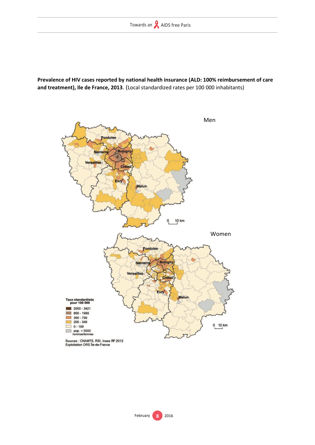**Prevalence of HIV cases reported by national health insurance (ALD: 100% reimbursement of care and treatment), Ile de France, 2013**. (Local standardized rates per 100 000 inhabitants)

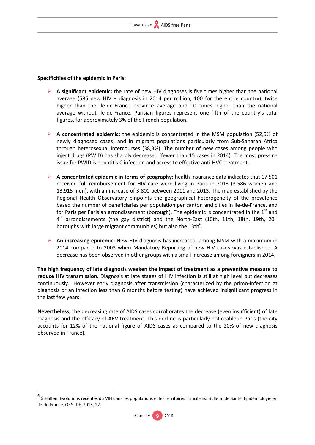#### **Specificities of the epidemic in Paris:**

 $\overline{a}$ 

- **A significant epidemic:** the rate of new HIV diagnoses is five times higher than the national average (585 new HIV + diagnosis in 2014 per million, 100 for the entire country), twice higher than the Ile-de-France province average and 10 times higher than the national average without Ile-de-France. Parisian figures represent one fifth of the country's total figures, for approximately 3% of the French population.
- **A concentrated epidemic:** the epidemic is concentrated in the MSM population (52,5% of newly diagnosed cases) and in migrant populations particularly from Sub-Saharan Africa through heterosexual intercourses (38,3%). The number of new cases among people who inject drugs (PWID) has sharply decreased (fewer than 15 cases in 2014). The most pressing issue for PWID is hepatitis C infection and access to effective anti-HVC treatment.
- **A concentrated epidemic in terms of geography:** health insurance data indicates that 17 501 received full reimbursement for HIV care were living in Paris in 2013 (3.586 women and 13.915 men), with an increase of 3.800 between 2011 and 2013. The map established by the Regional Health Observatory pinpoints the geographical heterogeneity of the prevalence based the number of beneficiaries per population per canton and cities in Ile-de-France, and for Paris per Parisian arrondissement (borough). The epidemic is concentrated in the  $1<sup>st</sup>$  and  $4^{\text{th}}$  arrondissements (the gay district) and the North-East (10th, 11th, 18th, 19th, 20<sup>th</sup> boroughs with large migrant communities) but also the 13th $^6$ .
- **An increasing epidemic:** New HIV diagnosis has increased, among MSM with a maximum in 2014 compared to 2003 when Mandatory Reporting of new HIV cases was established. A decrease has been observed in other groups with a small increase among foreigners in 2014.

**The high frequency of late diagnosis weaken the impact of treatment as a preventive measure to reduce HIV transmission.** Diagnosis at late stages of HIV infection is still at high level but decreases continuously. However early diagnosis after transmission (characterized by the primo-infection at diagnosis or an infection less than 6 months before testing) have achieved insignificant progress in the last few years.

**Nevertheless,** the decreasing rate of AIDS cases corroborates the decrease (even insufficient) of late diagnosis and the efficacy of ARV treatment. This decline is particularly noticeable in Paris (the city accounts for 12% of the national figure of AIDS cases as compared to the 20% of new diagnosis observed in France).

<sup>&</sup>lt;sup>6</sup> S.Halfen. Evolutions récentes du VIH dans les populations et les territoires franciliens. Bulletin de Santé. Epidémiologie en Ile-de-France, ORS-IDF, 2015, 22.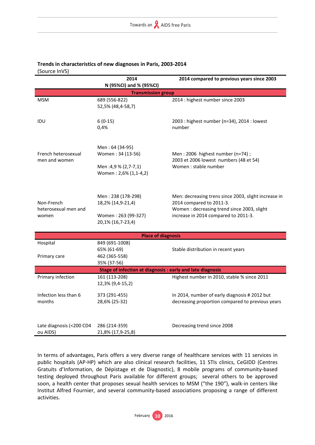#### **Trends in characteristics of new diagnoses in Paris, 2003-2014**

(Source InVS)

|                                             | 2014                                                                                 | 2014 compared to previous years since 2003                                                                                                                             |  |  |  |  |  |  |
|---------------------------------------------|--------------------------------------------------------------------------------------|------------------------------------------------------------------------------------------------------------------------------------------------------------------------|--|--|--|--|--|--|
| N (95%CI) and % (95%CI)                     |                                                                                      |                                                                                                                                                                        |  |  |  |  |  |  |
| <b>Transmission group</b>                   |                                                                                      |                                                                                                                                                                        |  |  |  |  |  |  |
| <b>MSM</b>                                  | 689 (556-822)<br>52,5% (48,4-58,7)                                                   | 2014 : highest number since 2003                                                                                                                                       |  |  |  |  |  |  |
| IDU                                         | $6(0-15)$<br>0,4%                                                                    | 2003 : highest number (n=34), 2014 : lowest<br>number                                                                                                                  |  |  |  |  |  |  |
| French heterosexual<br>men and women        | Men: 64 (34-95)<br>Women: 34 (13-56)<br>Men:4,9 % (2,7-7,1)<br>Women: 2,6% (1,1-4,2) | Men: 2006 highest number (n=74);<br>2003 et 2006 lowest numbers (48 et 54)<br>Women: stable number                                                                     |  |  |  |  |  |  |
| Non-French<br>heterosexual men and<br>women | Men: 238 (178-298)<br>18,2% (14,9-21,4)<br>Women: 263 (99-327)<br>20,1% (16,7-23,4)  | Men: decreasing trens since 2003, slight increase in<br>2014 compared to 2011-3.<br>Women: decreasing trend since 2003, slight<br>increase in 2014 compared to 2011-3. |  |  |  |  |  |  |
|                                             | <b>Place of diagnosis</b>                                                            |                                                                                                                                                                        |  |  |  |  |  |  |
| Hospital<br>Primary care                    | 849 (691-1008)<br>65% (61-69)<br>462 (365-558)<br>35% (37-56)                        | Stable distribution in recent years                                                                                                                                    |  |  |  |  |  |  |
|                                             | <b>Stage of infection at diagnosis : early and late diagnosis</b>                    |                                                                                                                                                                        |  |  |  |  |  |  |
| Primary infection                           | 161 (113-208)<br>12,3% (9,4-15,2)                                                    | Highest number in 2010, stable % since 2011                                                                                                                            |  |  |  |  |  |  |
| Infection less than 6<br>months             | 373 (291-455)<br>28,6% (25-32)                                                       | In 2014, number of early diagnosis #2012 but<br>decreasing proportion compared to previous years                                                                       |  |  |  |  |  |  |
| Late diagnosis (<200 CD4<br>ou AIDS)        | 286 (214-359)<br>21,8% (17,9-25,8)                                                   | Decreasing trend since 2008                                                                                                                                            |  |  |  |  |  |  |

In terms of advantages, Paris offers a very diverse range of healthcare services with 11 services in public hospitals (AP-HP) which are also clinical research facilities, 11 STIs clinics, CeGIDD (Centres Gratuits d'Information, de Dépistage et de Diagnostic), 8 mobile programs of community-based testing deployed throughout Paris available for different groups; several others to be approved soon, a health center that proposes sexual health services to MSM ("the 190"), walk-in centers like Institut Alfred Fournier, and several community-based associations proposing a range of different activities.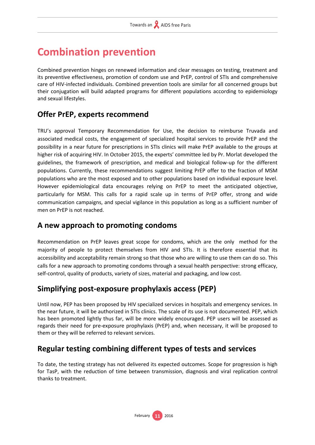# **Combination prevention**

Combined prevention hinges on renewed information and clear messages on testing, treatment and its preventive effectiveness, promotion of condom use and PrEP, control of STIs and comprehensive care of HIV-infected individuals. Combined prevention tools are similar for all concerned groups but their conjugation will build adapted programs for different populations according to epidemiology and sexual lifestyles.

# **Offer PrEP, experts recommend**

TRU's approval Temporary Recommendation for Use, the decision to reimburse Truvada and associated medical costs, the engagement of specialized hospital services to provide PrEP and the possibility in a near future for prescriptions in STIs clinics will make PrEP available to the groups at higher risk of acquiring HIV. In October 2015, the experts' committee led by Pr. Morlat developed the guidelines, the framework of prescription, and medical and biological follow-up for the different populations. Currently, these recommendations suggest limiting PrEP offer to the fraction of MSM populations who are the most exposed and to other populations based on individual exposure level. However epidemiological data encourages relying on PrEP to meet the anticipated objective, particularly for MSM. This calls for a rapid scale up in terms of PrEP offer, strong and wide communication campaigns, and special vigilance in this population as long as a sufficient number of men on PrEP is not reached.

### **A new approach to promoting condoms**

Recommendation on PrEP leaves great scope for condoms, which are the only method for the majority of people to protect themselves from HIV and STIs. It is therefore essential that its accessibility and acceptability remain strong so that those who are willing to use them can do so. This calls for a new approach to promoting condoms through a sexual health perspective: strong efficacy, self-control, quality of products, variety of sizes, material and packaging, and low cost.

# **Simplifying post-exposure prophylaxis access (PEP)**

Until now, PEP has been proposed by HIV specialized services in hospitals and emergency services. In the near future, it will be authorized in STIs clinics. The scale of its use is not documented. PEP, which has been promoted lightly thus far, will be more widely encouraged. PEP users will be assessed as regards their need for pre-exposure prophylaxis (PrEP) and, when necessary, it will be proposed to them or they will be referred to relevant services.

# **Regular testing combining different types of tests and services**

To date, the testing strategy has not delivered its expected outcomes. Scope for progression is high for TasP, with the reduction of time between transmission, diagnosis and viral replication control thanks to treatment.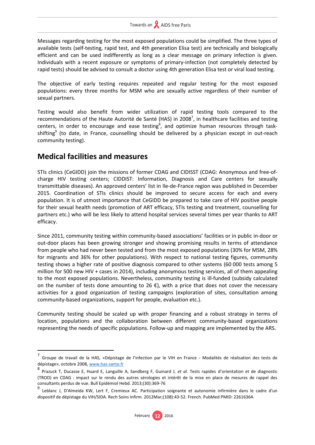Messages regarding testing for the most exposed populations could be simplified. The three types of available tests (self-testing, rapid test, and 4th generation Elisa test) are technically and biologically efficient and can be used indifferently as long as a clear message on primary infection is given. Individuals with a recent exposure or symptoms of primary-infection (not completely detected by rapid tests) should be advised to consult a doctor using 4th generation Elisa test or viral load testing.

The objective of early testing requires repeated and regular testing for the most exposed populations: every three months for MSM who are sexually active regardless of their number of sexual partners.

Testing would also benefit from wider utilization of rapid testing tools compared to the recommendations of the Haute Autorité de Santé (HAS) in 2008<sup>7</sup>, in healthcare facilities and testing centers, in order to encourage and ease testing<sup>8</sup>, and optimize human resources through taskshifting<sup>9</sup> (to date, in France, counselling should be delivered by a physician except in out-reach community testing).

### **Medical facilities and measures**

 $\overline{a}$ 

STIs clinics (CeGIDD) join the missions of former CDAG and CIDISST (CDAG: Anonymous and free-ofcharge HIV testing centers; CIDDIST: Information, Diagnosis and Care centers for sexually transmittable diseases). An approved centers' list in Ile-de-France region was published in December 2015. Coordination of STIs clinics should be improved to secure access for each and every population. It is of utmost importance that CeGIDD be prepared to take care of HIV positive people for their sexual health needs (promotion of ART efficacy, STIs testing and treatment, counselling for partners etc.) who will be less likely to attend hospital services several times per year thanks to ART efficacy.

Since 2011, community testing within community-based associations' facilities or in public in-door or out-door places has been growing stronger and showing promising results in terms of attendance from people who had never been tested and from the most exposed populations (30% for MSM, 28% for migrants and 36% for other populations). With respect to national testing figures, community testing shows a higher rate of positive diagnosis compared to other systems (60 000 tests among 5 million for 500 new HIV + cases in 2014), including anonymous testing services, all of them appealing to the most exposed populations. Nevertheless, community testing is ill-funded (subsidy calculated on the number of tests done amounting to 26  $\epsilon$ ), with a price that does not cover the necessary activities for a good organization of testing campaigns (exploration of sites, consultation among community-based organizations, support for people, evaluation etc.).

Community testing should be scaled up with proper financing and a robust strategy in terms of location, populations and the collaboration between different community-based organizations representing the needs of specific populations. Follow-up and mapping are implemented by the ARS.

<sup>9</sup> Leblanc J, D'Almeida KW, Lert F, Cremieux AC. Participation soignante et autonomie infirmière dans le cadre d'un dispositif de dépistage du VIH/SIDA. Rech Soins Infirm. 2012Mar;(108):43-52. French. PubMed PMID: 22616364.



<sup>7</sup> Groupe de travail de la HAS, «Dépistage de l'infection par le VIH en France - Modalités de réalisation des tests de dépistage», octobre 2008[, www.has-sante.fr](http://www.has-sante.fr/)

<sup>8</sup> Prazuck T, Ducasse E, Huard E, Languille A, Sandberg F, Guinard J, *et al*. Tests rapides d'orientation et de diagnostic (TROD) en CDAG : impact sur le rendu des autres sérologies et intérêt de la mise en place de mesures de rappel des consultants perdus de vue. Bull Epidémiol Hebd. 2013;(30):369-76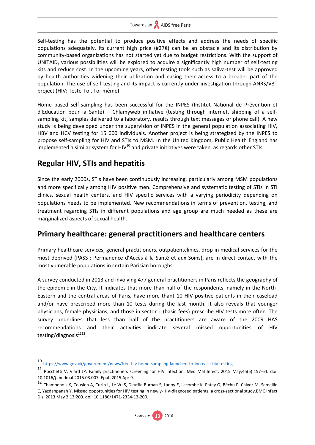Self-testing has the potential to produce positive effects and address the needs of specific populations adequately. Its current high price (#27€) can be an obstacle and its distribution by community-based organizations has not started yet due to budget restrictions. With the support of UNITAID, various possibilities will be explored to acquire a significantly high number of self-testing kits and reduce cost. In the upcoming years, other testing tools such as saliva-test will be approved by health authorities widening their utilization and easing their access to a broader part of the population. The use of self-testing and its impact is currently under investigation through ANRS/V3T project (HIV: Teste-Toi, Toi-même).

Home based self-sampling has been successful for the INPES (Institut National de Prévention et d'Education pour la Santé) – Chlamyweb initiative (testing through internet, shipping of a selfsampling kit, samples delivered to a laboratory, results through text messages or phone call). A new study is being developed under the supervision of INPES in the general population associating HIV, HBV and HCV testing for 15 000 individuals. Another project is being strategized by the INPES to propose self-sampling for HIV and STIs to MSM. In the United Kingdom, Public Health England has implemented a similar system for  $HIV^{10}$  and private initiatives were taken as regards other STIs.

# **Regular HIV, STIs and hepatitis**

 $\overline{a}$ 

Since the early 2000s, STIs have been continuously increasing, particularly among MSM populations and more specifically among HIV positive men. Comprehensive and systematic testing of STIs in STI clinics, sexual health centers, and HIV specific services with a varying periodicity depending on populations needs to be implemented. New recommendations in terms of prevention, testing, and treatment regarding STIs in different populations and age group are much needed as these are marginalized aspects of sexual health.

### **Primary healthcare: general practitioners and healthcare centers**

Primary healthcare services, general practitioners, outpatientclinics, drop-in medical services for the most deprived (PASS : Permanence d'Accès à la Santé et aux Soins), are in direct contact with the most vulnerable populations in certain Parisian boroughs.

A survey conducted in 2013 and involving 477 general practitioners in Paris reflects the geography of the epidemic in the City. It indicates that more than half of the respondents, namely in the North-Eastern and the central areas of Paris, have more thant 10 HIV positive patients in their caseload and/or have prescribed more than 10 tests during the last month. It also reveals that younger physicians, female physicians, and those in sector 1 (basic fees) prescribe HIV tests more often. The survey underlines that less than half of the practitioners are aware of the 2009 HAS recommendations and their activities indicate several missed opportunities of HIV testing/diagnosis<sup>1112</sup>.

<sup>10</sup> <https://www.gov.uk/government/news/free-hiv-home-sampling-launched-to-increase-hiv-testing>

<sup>11</sup> Rocchetti V, Viard JP. Family practitioners screening for HIV infection. Med Mal Infect. 2015 May;45(5):157-64. doi: 10.1016/j.medmal.2015.03.007. Epub 2015 Apr 9.

<sup>12</sup> Champenois K, Cousien A, Cuzin L, Le Vu S, Deuffic-Burban S, Lanoy E, Lacombe K, Patey O, Béchu P, Calvez M, Semaille C, Yazdanpanah Y. Missed opportunities for HIV testing in newly-HIV-diagnosed patients, a cross-sectional study.BMC Infect Dis. 2013 May 2;13:200. doi: 10.1186/1471-2334-13-200.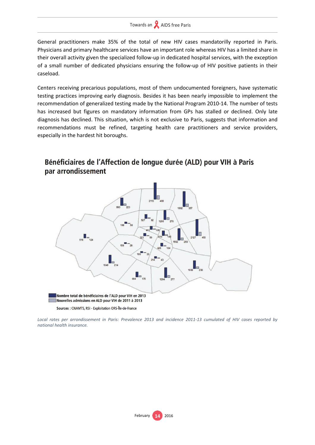General practitioners make 35% of the total of new HIV cases mandatorilly reported in Paris. Physicians and primary healthcare services have an important role whereas HIV has a limited share in their overall activity given the specialized follow-up in dedicated hospital services, with the exception of a small number of dedicated physicians ensuring the follow-up of HIV positive patients in their caseload.

Centers receiving precarious populations, most of them undocumented foreigners, have systematic testing practices improving early diagnosis. Besides it has been nearly impossible to implement the recommendation of generalized testing made by the National Program 2010-14. The number of tests has increased but figures on mandatory information from GPs has stalled or declined. Only late diagnosis has declined. This situation, which is not exclusive to Paris, suggests that information and recommendations must be refined, targeting health care practitioners and service providers, especially in the hardest hit boroughs.



Bénéficiaires de l'Affection de longue durée (ALD) pour VIH à Paris par arrondissement

*Local rates per arrondissement in Paris: Prevalence 2013 and incidence 2011-13 cumulated of HIV cases reported by national health insurance.*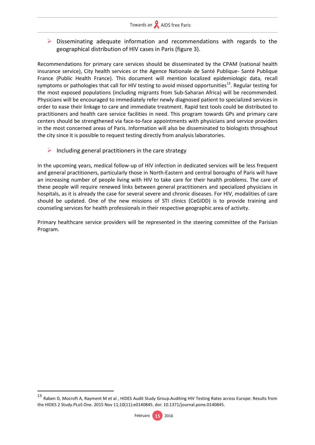$\triangleright$  Disseminating adequate information and recommendations with regards to the geographical distribution of HIV cases in Paris (figure 3).

Paris

Recommendations for primary care services should be disseminated by the CPAM (national health insurance service), City health services or the Agence Nationale de Santé Publique- Santé Publique France (Public Health France). This document will mention localized epidemiologic data, recall symptoms or pathologies that call for HIV testing to avoid missed opportunities<sup>13</sup>. Regular testing for the most exposed populations (including migrants from Sub-Saharan Africa) will be recommended. Physicians will be encouraged to immediately refer newly diagnosed patient to specialized services in order to ease their linkage to care and immediate treatment. Rapid test tools could be distributed to practitioners and health care service facilities in need. This program towards GPs and primary care centers should be strengthened via face-to-face appointments with physicians and service providers in the most concerned areas of Paris. Information will also be disseminated to biologists throughout the city since it is possible to request testing directly from analysis laboratories.

 $\triangleright$  Including general practitioners in the care strategy

In the upcoming years, medical follow-up of HIV infection in dedicated services will be less frequent and general practitioners, particularly those in North-Eastern and central boroughs of Paris will have an increasing number of people living with HIV to take care for their health problems. The care of these people will require renewed links between general practitioners and specialized physicians in hospitals, as it is already the case for several severe and chronic diseases. For HIV, modalities of care should be updated. One of the new missions of STI clinics (CeGIDD) is to provide training and counseling services for health professionals in their respective geographic area of activity.

Primary healthcare service providers will be represented in the steering committee of the Parisian Program.

<sup>13</sup> Raben D, Mocroft A, Rayment M et al , HIDES Audit Study Group.Auditing HIV Testing Rates across Europe: Results from the HIDES 2 Study.PLoS One. 2015 Nov 11;10(11):e0140845. doi: 10.1371/journal.pone.0140845.



 $\overline{a}$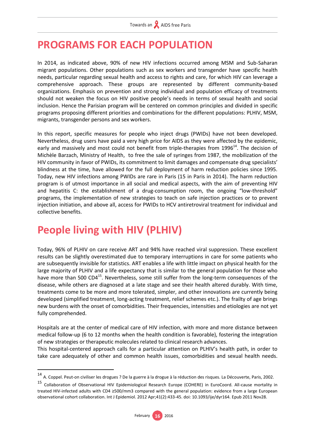# **PROGRAMS FOR EACH POPULATION**

In 2014, as indicated above, 90% of new HIV infections occurred among MSM and Sub-Saharan migrant populations. Other populations such as sex workers and transgender have specific health needs, particular regarding sexual health and access to rights and care, for which HIV can leverage a comprehensive approach. These groups are represented by different community-based organizations. Emphasis on prevention and strong individual and population efficacy of treatments should not weaken the focus on HIV positive people's needs in terms of sexual health and social inclusion. Hence the Parisian program will be centered on common principles and divided in specific programs proposing different priorities and combinations for the different populations: PLHIV, MSM, migrants, transgender persons and sex workers.

In this report, specific measures for people who inject drugs (PWIDs) have not been developed. Nevertheless, drug users have paid a very high price for AIDS as they were affected by the epidemic, early and massively and most could not benefit from triple-therapies from 1996<sup>14</sup>. The decision of Michèle Barzach, Ministry of Health, to free the sale of syringes from 1987, the mobilization of the HIV community in favor of PWIDs, its commitment to limit damages and compensate drug specialists' blindness at the time, have allowed for the full deployment of harm reduction policies since 1995. Today, new HIV infections among PWIDs are rare in Paris (15 in Paris in 2014). The harm reduction program is of utmost importance in all social and medical aspects, with the aim of preventing HIV and hepatitis C: the establishment of a drug-consumption room, the ongoing "low-threshold" programs, the implementation of new strategies to teach on safe injection practices or to prevent injection initiation, and above all, access for PWIDs to HCV antiretroviral treatment for individual and collective benefits.

# **People living with HIV (PLHIV)**

j

Today, 96% of PLHIV on care receive ART and 94% have reached viral suppression. These excellent results can be slightly overestimated due to temporary interruptions in care for some patients who are subsequently invisible for statistics. ART enables a life with little impact on physical health for the large majority of PLHIV and a life expectancy that is similar to the general population for those who have more than 500 CD4<sup>15</sup>. Nevertheless, some still suffer from the long-term consequences of the disease, while others are diagnosed at a late stage and see their health altered durably. With time, treatments come to be more and more tolerated, simpler, and other innovations are currently being developed (simplified treatment, long-acting treatment, relief schemes etc.). The frailty of age brings new burdens with the onset of comorbidities. Their frequencies, intensities and etiologies are not yet fully comprehended.

Hospitals are at the center of medical care of HIV infection, with more and more distance between medical follow-up (6 to 12 months when the health condition is favorable), fostering the integration of new strategies or therapeutic molecules related to clinical research advances.

This hospital-centered approach calls for a particular attention on PLHIV's health path, in order to take care adequately of other and common health issues, comorbidities and sexual health needs.

<sup>14</sup> A. Coppel. Peut-on civiliser les drogues ? De la guerre à la drogue à la réduction des risques. La Découverte, Paris, 2002.

<sup>15</sup> Collaboration of Observational HIV Epidemiological Research Europe (COHERE) in EuroCoord. All-cause mortality in treated HIV-infected adults with CD4 ≥500/mm3 compared with the general population: evidence from a large European observational cohort collaboration. Int J Epidemiol. 2012 Apr;41(2):433-45. doi: 10.1093/ije/dyr164. Epub 2011 Nov28.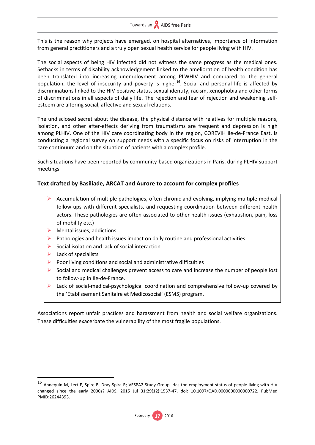This is the reason why projects have emerged, on hospital alternatives, importance of information from general practitioners and a truly open sexual health service for people living with HIV.

The social aspects of being HIV infected did not witness the same progress as the medical ones. Setbacks in terms of disability acknowledgement linked to the amelioration of health condition has been translated into increasing unemployment among PLWHIV and compared to the general population, the level of insecurity and poverty is higher<sup>16</sup>. Social and personal life is affected by discriminations linked to the HIV positive status, sexual identity, racism, xenophobia and other forms of discriminations in all aspects of daily life. The rejection and fear of rejection and weakening selfesteem are altering social, affective and sexual relations.

The undisclosed secret about the disease, the physical distance with relatives for multiple reasons, isolation, and other after-effects deriving from traumatisms are frequent and depression is high among PLHIV. One of the HIV care coordinating body in the region, COREVIH Ile-de-France East, is conducting a regional survey on support needs with a specific focus on risks of interruption in the care continuum and on the situation of patients with a complex profile.

Such situations have been reported by community-based organizations in Paris, during PLHIV support meetings.

#### **Text drafted by Basiliade, ARCAT and Aurore to account for complex profiles**

- Accumulation of multiple pathologies, often chronic and evolving, implying multiple medical follow-ups with different specialists, and requesting coordination between different health actors. These pathologies are often associated to other health issues (exhaustion, pain, loss of mobility etc.)
- Mental issues, addictions
- $\triangleright$  Pathologies and health issues impact on daily routine and professional activities
- $\triangleright$  Social isolation and lack of social interaction
- $\blacktriangleright$  Lack of specialists

j

- $\triangleright$  Poor living conditions and social and administrative difficulties
- $\triangleright$  Social and medical challenges prevent access to care and increase the number of people lost to follow-up in Ile-de-France.
- Lack of social-medical-psychological coordination and comprehensive follow-up covered by the 'Etablissement Sanitaire et Medicosocial' (ESMS) program.

Associations report unfair practices and harassment from health and social welfare organizations. These difficulties exacerbate the vulnerability of the most fragile populations.

<sup>16</sup> Annequin M, Lert F, Spire B, Dray-Spira R; VESPA2 Study Group. Has the employment status of people living with HIV changed since the early 2000s? AIDS. 2015 Jul 31;29(12):1537-47. doi: 10.1097/QAD.0000000000000722. PubMed PMID:26244393.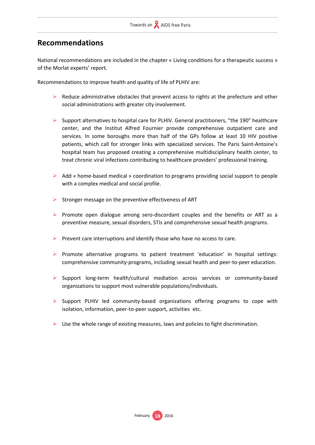### **Recommendations**

National recommendations are included in the chapter « Living conditions for a therapeutic success » of the Morlat experts' report.

Recommendations to improve health and quality of life of PLHIV are:

- $\triangleright$  Reduce administrative obstacles that prevent access to rights at the prefecture and other social administrations with greater city involvement.
- $\triangleright$  Support alternatives to hospital care for PLHIV. General practitioners, "the 190" healthcare center, and the Institut Alfred Fournier provide comprehensive outpatient care and services. In some boroughs more than half of the GPs follow at least 10 HIV positive patients, which call for stronger links with specialized services. The Paris Saint-Antoine's hospital team has proposed creating a comprehensive multidisciplinary health center, to treat chronic viral infections contributing to healthcare providers' professional training.
- $\triangleright$  Add « home-based medical » coordination to programs providing social support to people with a complex medical and social profile.
- Stronger message on the preventive effectiveness of ART
- $\triangleright$  Promote open dialogue among sero-discordant couples and the benefits or ART as a preventive measure, sexual disorders, STIs and comprehensive sexual health programs.
- $\triangleright$  Prevent care interruptions and identify those who have no access to care.
- $\triangleright$  Promote alternative programs to patient treatment 'education' in hospital settings: comprehensive community-programs, including sexual health and peer-to-peer education.
- $\triangleright$  Support long-term health/cultural mediation across services or community-based organizations to support most vulnerable populations/individuals.
- $\triangleright$  Support PLHIV led community-based organizations offering programs to cope with isolation, information, peer-to-peer support, activities etc.
- $\triangleright$  Use the whole range of existing measures, laws and policies to fight discrimination.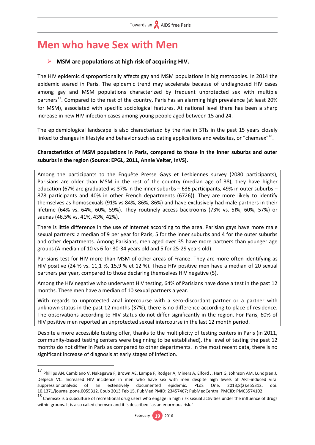# **Men who have Sex with Men**

#### **MSM are populations at high risk of acquiring HIV.**

The HIV epidemic disproportionally affects gay and MSM populations in big metropoles. In 2014 the epidemic soared in Paris. The epidemic trend may accelerate because of undiagnosed HIV cases among gay and MSM populations characterized by frequent unprotected sex with multiple partners<sup>17</sup>. Compared to the rest of the country, Paris has an alarming high prevalence (at least 20% for MSM), associated with specific sociological features. At national level there has been a sharp increase in new HIV infection cases among young people aged between 15 and 24.

The epidemiological landscape is also characterized by the rise in STIs in the past 15 years closely linked to changes in lifestyle and behavior such as dating applications and websites, or "chemsex"<sup>18</sup>.

#### **Characteristics of MSM populations in Paris, compared to those in the inner suburbs and outer suburbs in the region (Source: EPGL, 2011, Annie Velter, InVS).**

Among the participants to the Enquête Presse Gays et Lesbiennes survey (2080 participants), Parisians are older than MSM in the rest of the country (median age of 38), they have higher education (67% are graduated vs 37% in the inner suburbs – 636 participants, 49% in outer suburbs – 878 participants and 40% in other French departments (6726)). They are more likely to identify themselves as homosexuals (91% vs 84%, 86%, 86%) and have exclusively had male partners in their lifetime (64% vs. 64%, 60%, 59%). They routinely access backrooms (73% vs. 5I%, 60%, 57%) or saunas (46.5% vs. 41%, 43%, 42%).

There is little difference in the use of internet according to the area. Parisian gays have more male sexual partners: a median of 9 per year for Paris, 5 for the inner suburbs and 4 for the outer suburbs and other departments. Among Parisians, men aged over 35 have more partners than younger age groups (A median of 10 vs 6 for 30-34 years old and 5 for 25-29 years old).

Parisians test for HIV more than MSM of other areas of France. They are more often identifying as HIV positive (24 % vs. 11,1 %, 15,9 % et 12 %). These HIV positive men have a median of 20 sexual partners per year, compared to those declaring themselves HIV negative (5).

Among the HIV negative who underwent HIV testing, 64% of Parisians have done a test in the past 12 months. These men have a median of 10 sexual partners a year.

With regards to unprotected anal intercourse with a sero-discordant partner or a partner with unknown status in the past 12 months (37%), there is no difference according to place of residence. The observations according to HIV status do not differ significantly in the region. For Paris, 60% of HIV positive men reported an unprotected sexual intercourse in the last 12 month period.

Despite a more accessible testing offer, thanks to the multiplicity of testing centers in Paris (in 2011, community-based testing centers were beginning to be established), the level of testing the past 12 months do not differ in Paris as compared to other departments. In the most recent data, there is no significant increase of diagnosis at early stages of infection.

 $\overline{a}$ 

 $18$  Chemsex is a subculture of recreational drug users who engage in high risk sexual activities under the influence of drugs within groups. It is also called chemsex and it is described "as an enormous risk."



<sup>17</sup> Phillips AN, Cambiano V, Nakagawa F, Brown AE, Lampe F, Rodger A, Miners A, Elford J, Hart G, Johnson AM, Lundgren J, Delpech VC. Increased HIV incidence in men who have sex with men despite high levels of ART-induced viral suppression:analysis of an extensively documented epidemic. PLoS One. 2013;8(2):e55312. 10.1371/journal.pone.0055312. Epub 2013 Feb 15. PubMed PMID: 23457467; PubMedCentral PMCID: PMC3574102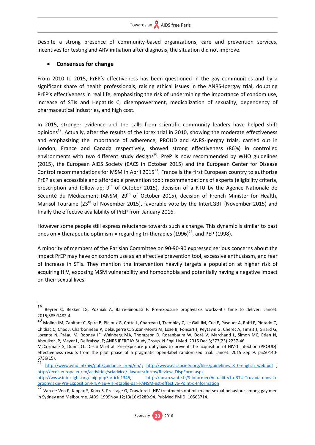Despite a strong presence of community-based organizations, care and prevention services, incentives for testing and ARV initiation after diagnosis, the situation did not improve.

#### **Consensus for change**

j

From 2010 to 2015, PrEP's effectiveness has been questioned in the gay communities and by a significant share of health professionals, raising ethical issues in the ANRS-Ipergay trial, doubting PrEP's effectiveness in real life, emphasizing the risk of undermining the importance of condom use, increase of STIs and Hepatitis C, disempowerment, medicalization of sexuality, dependency of pharmaceutical industries, and high cost.

In 2015, stronger evidence and the calls from scientific community leaders have helped shift opinions<sup>19</sup>. Actually, after the results of the Iprex trial in 2010, showing the moderate effectiveness and emphasizing the importance of adherence, PROUD and ANRS-Ipergay trials, carried out in London, France and Canada respectively, showed strong effectiveness (86%) in controlled environments with two different study designs<sup>20</sup>. PreP is now recommended by WHO guidelines (2015), the European AIDS Society (EACS in October 2015) and the European Center for Disease Control recommendations for MSM in April 2015<sup>21</sup>. France is the first European country to authorize PrEP as an accessible and affordable prevention tool: recommendations of experts (eligibility criteria, prescription and follow-up; 9<sup>th</sup> of October 2015), decision of a RTU by the Agence Nationale de Sécurité du Médicament (ANSM, 29<sup>th</sup> of October 2015), decision of French Minister for Health, Marisol Touraine (23<sup>rd</sup> of November 2015), favorable vote by the InterLGBT (November 2015) and finally the effective availability of PrEP from January 2016.

However some people still express reluctance towards such a change. This dynamic is similar to past ones on « therapeutic optimism » regarding tri-therapies (1996)<sup>22</sup>, and PEP (1998).

A minority of members of the Parisian Committee on 90-90-90 expressed serious concerns about the impact PrEP may have on condom use as an effective prevention tool, excessive enthusiasm, and fear of increase in STIs. They mention the intervention heavily targets a population at higher risk of acquiring HIV, exposing MSM vulnerability and homophobia and potentially having a negative impact on their sexual lives.

<sup>19</sup> Beyrer C, Bekker LG, Pozniak A, Barré-Sinoussi F. Pre-exposure prophylaxis works--it's time to deliver. Lancet. 2015;385:1482-4.

<sup>20</sup> Molina JM, Capitant C, Spire B, Pialoux G, Cotte L, Charreau I, Tremblay C, Le Gall JM, Cua E, Pasquet A, Raffi F, Pintado C, Chidiac C, Chas J, Charbonneau P, Delaugerre C, Suzan-Monti M, Loze B, Fonsart J, Peytavin G, Cheret A, Timsit J, Girard G, Lorente N, Préau M, Rooney JF, Wainberg MA, Thompson D, Rozenbaum W, Doré V, Marchand L, Simon MC, Etien N, Aboulker JP, Meyer L, Delfraissy JF; ANRS IPERGAY Study Group. N Engl J Med. 2015 Dec 3;373(23):2237-46.

McCormack S, Dunn DT, Desai M et al. Pre-exposure prophylaxis to prevent the acquisition of HIV-1 infection (PROUD): effectiveness results from the pilot phase of a pragmatic open-label randomised trial. Lancet. 2015 Sep 9. pii:S0140- 6736(15).

[http://www.who.int/hiv/pub/guidance\\_prep/en/](http://www.who.int/hiv/pub/guidance_prep/en/) ; [http://www.eacsociety.org/files/guidelines\\_8\\_0-english\\_web.pdf](http://www.eacsociety.org/files/guidelines_8_0-english_web.pdf) ; http://ecdc.europa.eu/en/activities/sciadvice/\_layouts/forms/Review\_DispForm.aspx.

[http://www.inter-lgbt.org/spip.php?article1345;](http://www.inter-lgbt.org/spip.php?article1345) [http://ansm.sante.fr/S-informer/Actualite/La-RTU-Truvada-dans-la](http://ansm.sante.fr/S-informer/Actualite/La-RTU-Truvada-dans-la-prophylaxie-Pre-Exposition-PrEP-au-VIH-etablie-par-l-ANSM-est-effective-Point-d-Information)[prophylaxie-Pre-Exposition-PrEP-au-VIH-etablie-par-l-ANSM-est-effective-Point-d-Information](http://ansm.sante.fr/S-informer/Actualite/La-RTU-Truvada-dans-la-prophylaxie-Pre-Exposition-PrEP-au-VIH-etablie-par-l-ANSM-est-effective-Point-d-Information)

<sup>&</sup>lt;sup>22</sup> Van de Ven P, Kippax S, Knox S, Prestage G, Crawford J. HIV treatments optimism and sexual behaviour among gay men in Sydney and Melbourne. AIDS. 1999Nov 12;13(16):2289-94. PubMed PMID: 10563714.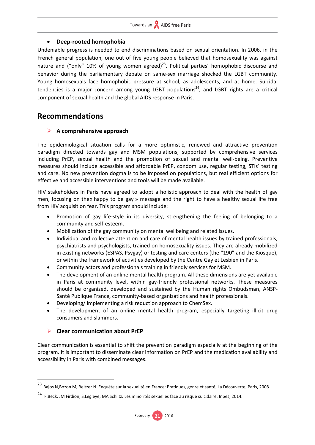#### **Deep-rooted homophobia**

Undeniable progress is needed to end discriminations based on sexual orientation. In 2006, in the French general population, one out of five young people believed that homosexuality was against nature and ("only" 10% of young women agreed) $^{23}$ . Political parties' homophobic discourse and behavior during the parliamentary debate on same-sex marriage shocked the LGBT community. Young homosexuals face homophobic pressure at school, as adolescents, and at home. Suicidal tendencies is a major concern among young LGBT populations<sup>24</sup>, and LGBT rights are a critical component of sexual health and the global AIDS response in Paris.

### **Recommendations**

#### **A comprehensive approach**

The epidemiological situation calls for a more optimistic, renewed and attractive prevention paradigm directed towards gay and MSM populations, supported by comprehensive services including PrEP, sexual health and the promotion of sexual and mental well-being. Preventive measures should include accessible and affordable PrEP, condom use, regular testing, STIs' testing and care. No new prevention dogma is to be imposed on populations, but real efficient options for effective and accessible interventions and tools will be made available.

HIV stakeholders in Paris have agreed to adopt a holistic approach to deal with the health of gay men, focusing on the« happy to be gay » message and the right to have a healthy sexual life free from HIV acquisition fear. This program should include:

- Promotion of gay life-style in its diversity, strengthening the feeling of belonging to a community and self-esteem.
- Mobilization of the gay community on mental wellbeing and related issues.
- Individual and collective attention and care of mental health issues by trained professionals, psychiatrists and psychologists, trained on homosexuality issues. They are already mobilized in existing networks (ESPAS, Psygay) or testing and care centers (the "190" and the Kiosque), or within the framework of activities developed by the Centre Gay et Lesbien in Paris.
- Community actors and professionals training in friendly services for MSM.
- The development of an online mental health program. All these dimensions are yet available in Paris at community level, within gay-friendly professional networks. These measures should be organized, developed and sustained by the Human rights Ombudsman, ANSP-Santé Publique France, community-based organizations and health professionals.
- Developing/ implementing a risk reduction approach to ChemSex.
- The development of an online mental health program, especially targeting illicit drug consumers and slammers.

#### **Clear communication about PrEP**

 $\overline{a}$ 

Clear communication is essential to shift the prevention paradigm especially at the beginning of the program. It is important to disseminate clear information on PrEP and the medication availability and accessibility in Paris with combined messages.

<sup>23</sup> Bajos N,Bozon M, Beltzer N. Enquête sur la sexualité en France: Pratiques, genre et santé, La Découverte, Paris, 2008.

<sup>24</sup> F.Beck, JM Firdion, S.Legleye, MA Schiltz. Les minorités sexuelles face au risque suicidaire. Inpes, 2014.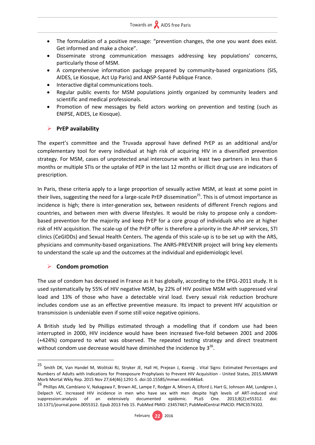The formulation of a positive message: "prevention changes, the one you want does exist. Get informed and make a choice".

Paris

- Disseminate strong communication messages addressing key populations' concerns, particularly those of MSM.
- A comprehensive information package prepared by community-based organizations (SIS, AIDES, Le Kiosque, Act Up Paris) and ANSP-Santé Publique France.
- Interactive digital communications tools.
- Regular public events for MSM populations jointly organized by community leaders and scientific and medical professionals.
- Promotion of new messages by field actors working on prevention and testing (such as ENIPSE, AIDES, Le Kiosque).

#### **PrEP availability**

The expert's committee and the Truvada approval have defined PrEP as an additional and/or complementary tool for every individual at high risk of acquiring HIV in a diversified prevention strategy. For MSM, cases of unprotected anal intercourse with at least two partners in less than 6 months or multiple STIs or the uptake of PEP in the last 12 months or illicit drug use are indicators of prescription.

In Paris, these criteria apply to a large proportion of sexually active MSM, at least at some point in their lives, suggesting the need for a large-scale PrEP dissemination<sup>25</sup>. This is of utmost importance as incidence is high; there is inter-generation sex, between residents of different French regions and countries, and between men with diverse lifestyles. It would be risky to propose only a condombased prevention for the majority and keep PrEP for a core group of individuals who are at higher risk of HIV acquisition. The scale-up of the PrEP offer is therefore a priority in the AP-HP services, STI clinics (CeGIDDs) and Sexual Health Centers. The agenda of this scale-up is to be set up with the ARS, physicians and community-based organizations. The ANRS-PREVENIR project will bring key elements to understand the scale up and the outcomes at the individual and epidemiologic level.

#### **Condom promotion**

j

The use of condom has decreased in France as it has globally, according to the EPGL-2011 study. It is used systematically by 55% of HIV negative MSM, by 22% of HIV positive MSM with suppressed viral load and 13% of those who have a detectable viral load. Every sexual risk reduction brochure includes condom use as an effective preventive measure. Its impact to prevent HIV acquisition or transmission is undeniable even if some still voice negative opinions.

A British study led by Phillips estimated through a modelling that if condom use had been interrupted in 2000, HIV incidence would have been increased five-fold between 2001 and 2006 (+424%) compared to what was observed. The repeated testing strategy and direct treatment without condom use decrease would have diminished the incidence by  $3^{26}$ .

<sup>&</sup>lt;sup>25</sup> Smith DK, Van Handel M, Wolitski RJ, Stryker JE, Hall HI, Prejean J, Koenig . Vital Signs: Estimated Percentages and Numbers of Adults with Indications for Preexposure Prophylaxis to Prevent HIV Acquisition - United States, 2015.MMWR Morb Mortal Wkly Rep. 2015 Nov 27;64(46):1291-5. doi:10.15585/mmwr.mm6446a4.

<sup>&</sup>lt;sup>26</sup> Phillips AN, Cambiano V, Nakagawa F, Brown AE, Lampe F, Rodger A, Miners A, Elford J, Hart G, Johnson AM, Lundgren J, Delpech VC. Increased HIV incidence in men who have sex with men despite high levels of ART-induced viral suppression:analysis of an extensively documented epidemic. PLoS One. 2013;8(2):e55312. doi: 10.1371/journal.pone.0055312. Epub 2013 Feb 15. PubMed PMID: 23457467; PubMedCentral PMCID: PMC3574102.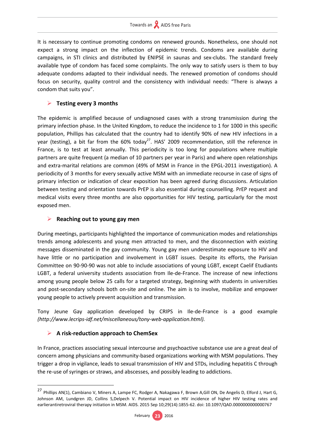It is necessary to continue promoting condoms on renewed grounds. Nonetheless, one should not expect a strong impact on the inflection of epidemic trends. Condoms are available during campaigns, in STI clinics and distributed by ENIPSE in saunas and sex-clubs. The standard freely available type of condom has faced some complaints. The only way to satisfy users is them to buy adequate condoms adapted to their individual needs. The renewed promotion of condoms should focus on security, quality control and the consistency with individual needs: "There is always a condom that suits you".

#### **Testing every 3 months**

The epidemic is amplified because of undiagnosed cases with a strong transmission during the primary infection phase. In the United Kingdom, to reduce the incidence to 1 for 1000 in this specific population, Phillips has calculated that the country had to identify 90% of new HIV infections in a year (testing), a bit far from the 60% today<sup>27</sup>. HAS' 2009 recommendation, still the reference in France, is to test at least annually. This periodicity is too long for populations where multiple partners are quite frequent (a median of 10 partners per year in Paris) and where open relationships and extra-marital relations are common (49% of MSM in France in the EPGL-2011 investigation). A periodicity of 3 months for every sexually active MSM with an immediate recourse in case of signs of primary infection or indication of clear exposition has been agreed during discussions. Articulation between testing and orientation towards PrEP is also essential during counselling. PrEP request and medical visits every three months are also opportunities for HIV testing, particularly for the most exposed men.

#### **Reaching out to young gay men**

During meetings, participants highlighted the importance of communication modes and relationships trends among adolescents and young men attracted to men, and the disconnection with existing messages disseminated in the gay community. Young gay men underestimate exposure to HIV and have little or no participation and involvement in LGBT issues. Despite its efforts, the Parisian Committee on 90-90-90 was not able to include associations of young LGBT, except Caelif Etudiants LGBT, a federal university students association from Ile-de-France. The increase of new infections among young people below 25 calls for a targeted strategy, beginning with students in universities and post-secondary schools both on-site and online. The aim is to involve, mobilize and empower young people to actively prevent acquisition and transmission.

Tony Jeune Gay application developed by CRIPS in Ile-de-France is a good example *(http://www.lecrips-idf.net/miscellaneous/tony-web-application.html).*

#### **A risk-reduction approach to ChemSex**

j

In France, practices associating sexual intercourse and psychoactive substance use are a great deal of concern among physicians and community-based organizations working with MSM populations. They trigger a drop in vigilance, leads to sexual transmission of HIV and STDs, including hepatitis C through the re-use of syringes or straws, and abscesses, and possibly leading to addictions.

<sup>&</sup>lt;sup>27</sup> Phillips AN(1), Cambiano V, Miners A, Lampe FC, Rodger A, Nakagawa F, Brown A,Gill ON, De Angelis D, Elford J, Hart G, Johnson AM, Lundgren JD, Collins S,Delpech V. Potential impact on HIV incidence of higher HIV testing rates and earlierantiretroviral therapy initiation in MSM. AIDS. 2015 Sep 10;29(14):1855-62. doi: 10.1097/QAD.0000000000000767

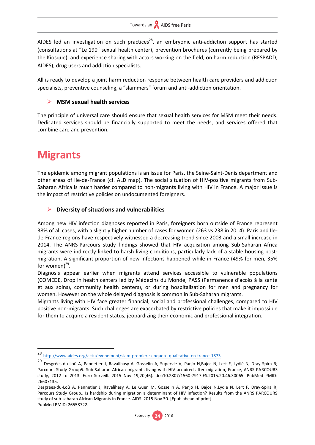AIDES led an investigation on such practices<sup>28</sup>, an embryonic anti-addiction support has started (consultations at "Le 190" sexual health center), prevention brochures (currently being prepared by the Kiosque), and experience sharing with actors working on the field, on harm reduction (RESPADD, AIDES), drug users and addiction specialists.

All is ready to develop a joint harm reduction response between health care providers and addiction specialists, preventive counseling, a "slammers" forum and anti-addiction orientation.

#### **MSM sexual health services**

The principle of universal care should ensure that sexual health services for MSM meet their needs. Dedicated services should be financially supported to meet the needs, and services offered that combine care and prevention.

# **Migrants**

 $\overline{a}$ 

The epidemic among migrant populations is an issue for Paris, the Seine-Saint-Denis department and other areas of Ile-de-France (cf. ALD map). The social situation of HIV-positive migrants from Sub-Saharan Africa is much harder compared to non-migrants living with HIV in France. A major issue is the impact of restrictive policies on undocumented foreigners.

#### **Diversity of situations and vulnerabilities**

Among new HIV infection diagnoses reported in Paris, foreigners born outside of France represent 38% of all cases, with a slightly higher number of cases for women (263 vs 238 in 2014). Paris and Ilede-France regions have respectively witnessed a decreasing trend since 2003 and a small increase in 2014. The ANRS-Parcours study findings showed that HIV acquisition among Sub-Saharan Africa migrants were indirectly linked to harsh living conditions, particularly lack of a stable housing postmigration. A significant proportion of new infections happened while in France (49% for men, 35% for women)<sup>29</sup>.

Diagnosis appear earlier when migrants attend services accessible to vulnerable populations (COMEDE, Drop in health centers led by Médecins du Monde, PASS (Permanence d'accès à la santé et aux soins), community health centers), or during hospitalization for men and pregnancy for women. However on the whole delayed diagnosis is common in Sub-Saharan migrants.

Migrants living with HIV face greater financial, social and professional challenges, compared to HIV positive non-migrants. Such challenges are exacerbated by restrictive policies that make it impossible for them to acquire a resident status, jeopardizing their economic and professional integration.

<sup>28</sup> <http://www.aides.org/actu/evenement/slam-premiere-enquete-qualitative-en-france-1873>

<sup>29</sup> Desgrées-du-Loû A, Pannetier J, Ravalihasy A, Gosselin A, Supervie V, Panjo H,Bajos N, Lert F, Lydié N, Dray-Spira R; Parcours Study Group5. Sub-Saharan African migrants living with HIV acquired after migration, France, ANRS PARCOURS study, 2012 to 2013. Euro Surveill. 2015 Nov 19;20(46). doi:10.2807/1560-7917.ES.2015.20.46.30065. PubMed PMID: 26607135.

Desgrées-du-Loû A, Pannetier J, Ravalihasy A, Le Guen M, Gosselin A, Panjo H, Bajos N,Lydie N, Lert F, Dray-Spira R; Parcours Study Group.. Is hardship during migration a determinant of HIV infection? Results from the ANRS PARCOURS study of sub-saharan African Migrants in France. AIDS. 2015 Nov 30. [Epub ahead of print] PubMed PMID: 26558722.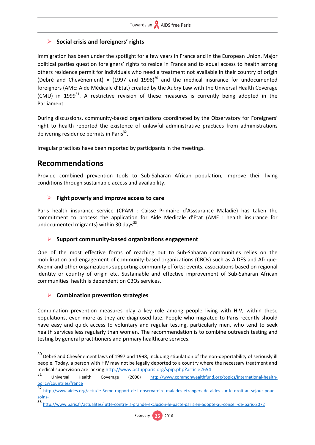#### **Social crisis and foreigners' rights**

Immigration has been under the spotlight for a few years in France and in the European Union. Major political parties question foreigners' rights to reside in France and to equal access to health among others residence permit for individuals who need a treatment not available in their country of origin (Debré and Chevènement) » (1997 and 1998)<sup>30</sup> and the medical insurance for undocumented foreigners (AME: Aide Médicale d'Etat) created by the Aubry Law with the Universal Health Coverage (CMU) in 1999<sup>31</sup>. A restrictive revision of these measures is currently being adopted in the Parliament.

During discussions, community-based organizations coordinated by the Observatory for Foreigners' right to health reported the existence of unlawful administrative practices from administrations delivering residence permits in Paris<sup>32</sup>.

Irregular practices have been reported by participants in the meetings.

# **Recommendations**

 $\overline{a}$ 

Provide combined prevention tools to Sub-Saharan African population, improve their living conditions through sustainable access and availability.

#### **Fight poverty and improve access to care**

Paris health insurance service (CPAM : Caisse Primaire d'Asssurance Maladie) has taken the commitment to process the application for Aide Medicale d'Etat (AME : health insurance for undocumented migrants) within 30 days $^{33}$ .

#### **Support community-based organizations engagement**

One of the most effective forms of reaching out to Sub-Saharan communities relies on the mobilization and engagement of community-based organizations (CBOs) such as AIDES and Afrique-Avenir and other organizations supporting community efforts: events, associations based on regional identity or country of origin etc. Sustainable and effective improvement of Sub-Saharan African communities' health is dependent on CBOs services.

#### **Combination prevention strategies**

Combination prevention measures play a key role among people living with HIV, within these populations, even more as they are diagnosed late. People who migrated to Paris recently should have easy and quick access to voluntary and regular testing, particularly men, who tend to seek health services less regularly than women. The recommendation is to combine outreach testing and testing by general practitioners and primary healthcare services.

<sup>33</sup> <http://www.paris.fr/actualites/lutte-contre-la-grande-exclusion-le-pacte-parisien-adopte-au-conseil-de-paris-2072>



<sup>&</sup>lt;sup>30</sup> Debré and Chevènement laws of 1997 and 1998, including stipulation of the non-deportability of seriously ill people. Today, a person with HIV may not be legally deported to a country where the necessary treatment and medical supervision are lacking <http://www.actupparis.org/spip.php?article2654>

<sup>31</sup> Universal Health Coverage (2000) [http://www.commonwealthfund.org/topics/international-health](http://www.commonwealthfund.org/topics/international-health-policy/countries/france)[policy/countries/france](http://www.commonwealthfund.org/topics/international-health-policy/countries/france)

[http://www.aides.org/actu/le-3eme-rapport-de-l-observatoire-malades-etrangers-de-aides-sur-le-droit-au-sejour-pour](http://www.aides.org/actu/le-3eme-rapport-de-l-observatoire-malades-etrangers-de-aides-sur-le-droit-au-sejour-pour-soins-)[soins-](http://www.aides.org/actu/le-3eme-rapport-de-l-observatoire-malades-etrangers-de-aides-sur-le-droit-au-sejour-pour-soins-)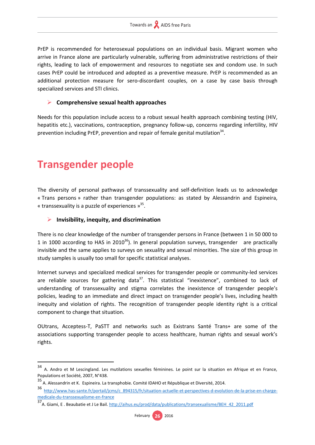PrEP is recommended for heterosexual populations on an individual basis. Migrant women who arrive in France alone are particularly vulnerable, suffering from administrative restrictions of their rights, leading to lack of empowerment and resources to negotiate sex and condom use. In such cases PrEP could be introduced and adopted as a preventive measure. PrEP is recommended as an additional protection measure for sero-discordant couples, on a case by case basis through specialized services and STI clinics.

#### **Comprehensive sexual health approaches**

Needs for this population include access to a robust sexual health approach combining testing (HIV, hepatitis etc.), vaccinations, contraception, pregnancy follow-up, concerns regarding infertility, HIV prevention including PrEP, prevention and repair of female genital mutilation<sup>34</sup>.

# **Transgender people**

j

The diversity of personal pathways of transsexuality and self-definition leads us to acknowledge « Trans persons » rather than transgender populations: as stated by Alessandrin and Espineira, « transsexuality is a puzzle of experiences » 35 .

#### **Invisibility, inequity, and discrimination**

There is no clear knowledge of the number of transgender persons in France (between 1 in 50 000 to 1 in 1000 according to HAS in 2010<sup>36</sup>). In general population surveys, transgender are practically invisible and the same applies to surveys on sexuality and sexual minorities. The size of this group in study samples is usually too small for specific statistical analyses.

Internet surveys and specialized medical services for transgender people or community-led services are reliable sources for gathering data<sup>37</sup>. This statistical "inexistence", combined to lack of understanding of transsexuality and stigma correlates the inexistence of transgender people's policies, leading to an immediate and direct impact on transgender people's lives, including health inequity and violation of rights. The recognition of transgender people identity right is a critical component to change that situation.

OUtrans, Acceptess-T, PaSTT and networks such as Existrans Santé Trans+ are some of the associations supporting transgender people to access healthcare, human rights and sexual work's rights.

<sup>34</sup> A. Andro et M Lescingland. Les mutilations sexuelles féminines. Le point sur la situation en Afrique et en France, Populations et Société, 2007, N°438.

<sup>35</sup> A. Alessandrin et K. Espineira. La transphobie. Comité IDAHO et République et Diversité, 2014.

<sup>36</sup> [http://www.has-sante.fr/portail/jcms/c\\_894315/fr/situation-actuelle-et-perspectives-d-evolution-de-la-prise-en-charge](http://www.has-sante.fr/portail/jcms/c_894315/fr/situation-actuelle-et-perspectives-d-evolution-de-la-prise-en-charge-medicale-du-transsexualisme-en-france)[medicale-du-transsexualisme-en-france](http://www.has-sante.fr/portail/jcms/c_894315/fr/situation-actuelle-et-perspectives-d-evolution-de-la-prise-en-charge-medicale-du-transsexualisme-en-france)

<sup>37</sup> A. Giami, E. Beaubatie et J Le Bail[. http://aihus.eu/prod/data/publications/transexualisme/BEH\\_42\\_2011.pdf](http://aihus.eu/prod/data/publications/transexualisme/BEH_42_2011.pdf)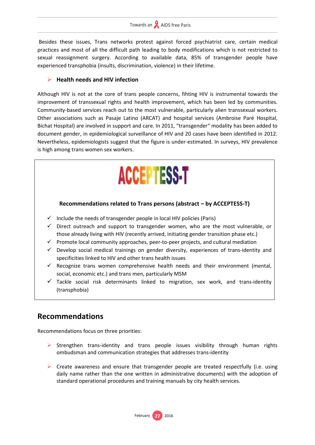Besides these issues, Trans networks protest against forced psychiatrist care, certain medical practices and most of all the difficult path leading to body modifications which is not restricted to sexual reassignment surgery. According to available data, 85% of transgender people have experienced transphobia (insults, discrimination, violence) in their lifetime.

#### **Health needs and HIV infection**

Although HIV is not at the core of trans people concerns, fihting HIV is instrumental towards the improvement of transsexual rights and health improvement, which has been led by communities. Community-based services reach out to the most vulnerable, particularly alien transsexual workers. Other associations such as Pasaje Latino (ARCAT) and hospital services (Ambroise Paré Hospital, Bichat Hospital) are involved in support and care. In 2011, "transgender" modality has been added to document gender, in epidemiological surveillance of HIV and 20 cases have been identified in 2012. Nevertheless, epidemiologists suggest that the figure is under-estimated. In surveys, HIV prevalence is high among trans women sex workers.

# **ACCEPTESS-T**

#### **Recommendations related to Trans persons (abstract – by ACCEPTESS-T)**

- $\checkmark$  Include the needs of transgender people in local HIV policies (Paris)
- $\checkmark$  Direct outreach and support to transgender women, who are the most vulnerable, or those already living with HIV (recently arrived, initiating gender transition phase etc.)
- $\checkmark$  Promote local community approaches, peer-to-peer projects, and cultural mediation
- $\checkmark$  Develop social medical trainings on gender diversity, experiences of trans-identity and specificities linked to HIV and other trans health issues
- $\checkmark$  Recognize trans women comprehensive health needs and their environment (mental, social, economic etc.) and trans men, particularly MSM
- $\checkmark$  Tackle social risk determinants linked to migration, sex work, and trans-identity (transphobia)

#### **Recommendations**

Recommendations focus on three priorities:

- Strengthen trans-identity and trans people issues visibility through human rights ombudsman and communication strategies that addresses trans-identity
- Create awareness and ensure that transgender people are treated respectfully (i.e. using daily name rather than the one written in administrative documents) with the adoption of standard operational procedures and training manuals by city health services.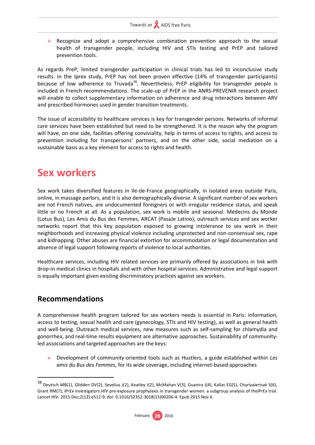$\triangleright$  Recognize and adopt a comprehensive combination prevention approach to the sexual health of transgender people, including HIV and STIs testing and PrEP and tailored prevention tools.

Paris

As regards PreP, limited transgender participation in clinical trials has led to inconclusive study results. In the Iprex study, PrEP has not been proven effective (14% of transgender participants) because of low adherence to Truvada<sup>38</sup>. Nevertheless, PrEP eligibility for transgender people is included in French recommendations. The scale-up of PrEP in the ANRS-PREVENIR research project will enable to collect supplementary information on adherence and drug interactions between ARV and prescribed hormones used in gender transition treatments.

The issue of accessibility to healthcare services is key for transgender persons. Networks of informal care services have been established but need to be strengthened. It is the reason why the program will have, on one side, facilities offering conviviality, help in terms of access to rights, and access to prevention including for transpersons' partners, and on the other side, social mediation on a sustainable basis as a key element for access to rights and health.

# **Sex workers**

Sex work takes diversified features in Ile-de-France geographically, in isolated areas outside Paris, online, in massage parlors, and it is also demographically diverse. A significant number of sex workers are not French natives, are undocumented foreigners or with irregular residence status, and speak little or no French at all. As a population, sex work is mobile and seasonal. Médecins du Monde (Lotus Bus), Les Amis du Bus des Femmes, ARCAT (PasaJe Latino), outreach services and sex worker networks report that this key population exposed to growing intolerance to sex work in their neighborhoods and increasing physical violence including unprotected and non-consensual sex, rape and kidnapping. Other abuses are financial extortion for accommodation or legal documentation and absence of legal support following reports of violence to local authorities.

Healthcare services, including HIV related services are primarily offered by associations in link with drop-in medical clinics in hospitals and with other hospital services. Administrative and legal support is equally important given existing discriminatory practices against sex workers.

# **Recommendations**

j

A comprehensive health program tailored for sex workers needs is essential in Paris: information, access to testing, sexual health and care (gynecology, STIs and HIV testing), as well as general health and well-being. Outreach medical services, new measures such as self-sampling for chlamydia and gonorrhea, and real-time results equipment are alternative approaches. Sustainability of communityled associations and targeted approaches are the keys:

 Development of community-oriented tools such as Hustlers, a guide established within *Les amis du Bus des Femmes*, for its wide coverage, including internet-based approaches

<sup>38</sup> Deutsch MB(1), Glidden DV(2), Sevelius J(2), Keatley J(2), McMahan V(3), Guanira J(4), Kallas EG(5), Chariyalertsak S(6), Grant RM(7); iPrEx investigators.HIV pre-exposure prophylaxis in transgender women: a subgroup analysis of theiPrEx trial. Lancet HIV. 2015 Dec;2(12):e512-9. doi: 0.1016/S2352-3018(15)00206-4. Epub 2015 Nov 6.

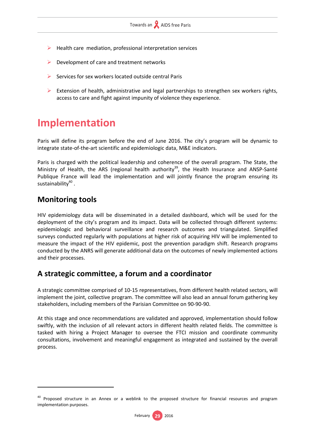- $\triangleright$  Health care mediation, professional interpretation services
- $\triangleright$  Development of care and treatment networks
- $\triangleright$  Services for sex workers located outside central Paris
- Extension of health, administrative and legal partnerships to strengthen sex workers rights, access to care and fight against impunity of violence they experience.

# **Implementation**

Paris will define its program before the end of June 2016. The city's program will be dynamic to integrate state-of-the-art scientific and epidemiologic data, M&E indicators.

Paris is charged with the political leadership and coherence of the overall program. The State, the Ministry of Health, the ARS (regional health authority<sup>39</sup>, the Health Insurance and ANSP-Santé Publique France will lead the implementation and will jointly finance the program ensuring its sustainability<sup>40</sup>.

### **Monitoring tools**

j

HIV epidemiology data will be disseminated in a detailed dashboard, which will be used for the deployment of the city's program and its impact. Data will be collected through different systems: epidemiologic and behavioral surveillance and research outcomes and triangulated. Simplified surveys conducted regularly with populations at higher risk of acquiring HIV will be implemented to measure the impact of the HIV epidemic, post the prevention paradigm shift. Research programs conducted by the ANRS will generate additional data on the outcomes of newly implemented actions and their processes.

### **A strategic committee, a forum and a coordinator**

A strategic committee comprised of 10-15 representatives, from different health related sectors, will implement the joint, collective program. The committee will also lead an annual forum gathering key stakeholders, including members of the Parisian Committee on 90-90-90.

At this stage and once recommendations are validated and approved, implementation should follow swiftly, with the inclusion of all relevant actors in different health related fields. The committee is tasked with hiring a Project Manager to oversee the FTCI mission and coordinate community consultations, involvement and meaningful engagement as integrated and sustained by the overall process.

<sup>&</sup>lt;sup>40</sup> Proposed structure in an Annex or a weblink to the proposed structure for financial resources and program implementation purposes.

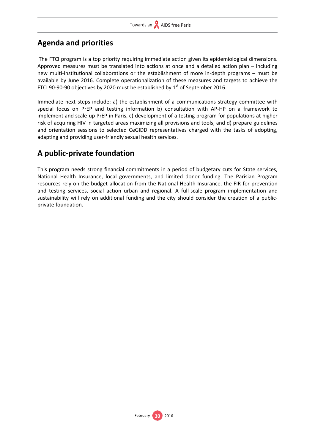### **Agenda and priorities**

The FTCI program is a top priority requiring immediate action given its epidemiological dimensions. Approved measures must be translated into actions at once and a detailed action plan – including new multi-institutional collaborations or the establishment of more in-depth programs – must be available by June 2016. Complete operationalization of these measures and targets to achieve the FTCI 90-90-90 objectives by 2020 must be established by  $1<sup>st</sup>$  of September 2016.

Immediate next steps include: a) the establishment of a communications strategy committee with special focus on PrEP and testing information b) consultation with AP-HP on a framework to implement and scale-up PrEP in Paris, c) development of a testing program for populations at higher risk of acquiring HIV in targeted areas maximizing all provisions and tools, and d) prepare guidelines and orientation sessions to selected CeGIDD representatives charged with the tasks of adopting, adapting and providing user-friendly sexual health services.

# **A public-private foundation**

This program needs strong financial commitments in a period of budgetary cuts for State services, National Health Insurance, local governments, and limited donor funding. The Parisian Program resources rely on the budget allocation from the National Health Insurance, the FIR for prevention and testing services, social action urban and regional. A full-scale program implementation and sustainability will rely on additional funding and the city should consider the creation of a publicprivate foundation.